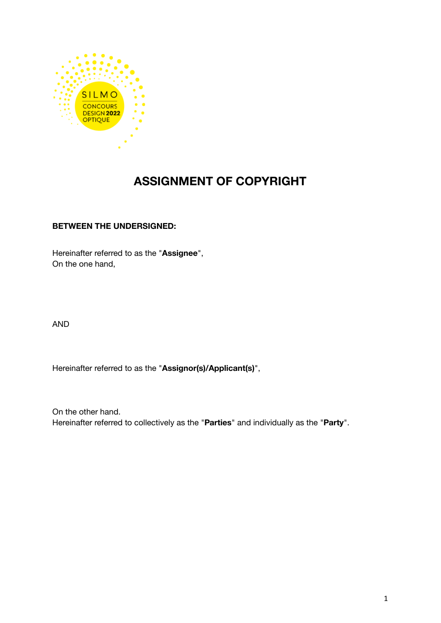

# **ASSIGNMENT OF COPYRIGHT**

# **BETWEEN THE UNDERSIGNED:**

Hereinafter referred to as the "**Assignee**", On the one hand,

AND

Hereinafter referred to as the "**Assignor(s)/Applicant(s)**",

On the other hand. Hereinafter referred to collectively as the "**Parties**" and individually as the "**Party**".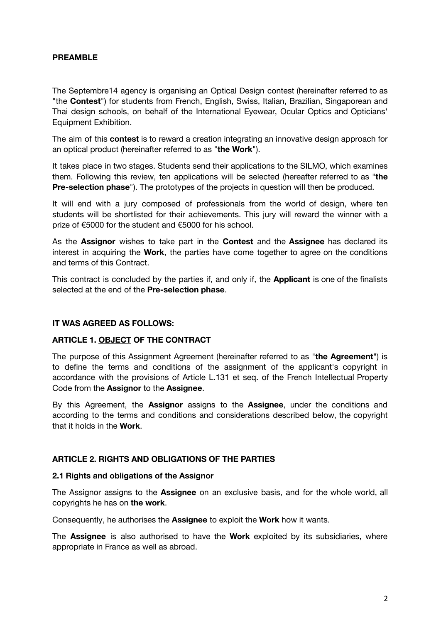## **PREAMBLE**

The Septembre14 agency is organising an Optical Design contest (hereinafter referred to as "the **Contest**") for students from French, English, Swiss, Italian, Brazilian, Singaporean and Thai design schools, on behalf of the International Eyewear, Ocular Optics and Opticians' Equipment Exhibition.

The aim of this **contest** is to reward a creation integrating an innovative design approach for an optical product (hereinafter referred to as "**the Work**").

It takes place in two stages. Students send their applications to the SILMO, which examines them. Following this review, ten applications will be selected (hereafter referred to as "**the Pre-selection phase**"). The prototypes of the projects in question will then be produced.

It will end with a jury composed of professionals from the world of design, where ten students will be shortlisted for their achievements. This jury will reward the winner with a prize of €5000 for the student and €5000 for his school.

As the **Assignor** wishes to take part in the **Contest** and the **Assignee** has declared its interest in acquiring the **Work**, the parties have come together to agree on the conditions and terms of this Contract.

This contract is concluded by the parties if, and only if, the **Applicant** is one of the finalists selected at the end of the **Pre-selection phase**.

#### **IT WAS AGREED AS FOLLOWS:**

#### **ARTICLE 1. [OBJECT](https://www.linguee.fr/anglais-francais/traduction/contractual+object.html) OF THE CONTRACT**

The purpose of this Assignment Agreement (hereinafter referred to as "**the Agreement**") is to define the terms and conditions of the assignment of the applicant's copyright in accordance with the provisions of Article L.131 et seq. of the French Intellectual Property Code from the **Assignor** to the **Assignee**.

By this Agreement, the **Assignor** assigns to the **Assignee**, under the conditions and according to the terms and conditions and considerations described below, the copyright that it holds in the **Work**.

#### **ARTICLE 2. RIGHTS AND OBLIGATIONS OF THE PARTIES**

#### **2.1 Rights and obligations of the Assignor**

The Assignor assigns to the **Assignee** on an exclusive basis, and for the whole world, all copyrights he has on **the work**.

Consequently, he authorises the **Assignee** to exploit the **Work** how it wants.

The **Assignee** is also authorised to have the **Work** exploited by its subsidiaries, where appropriate in France as well as abroad.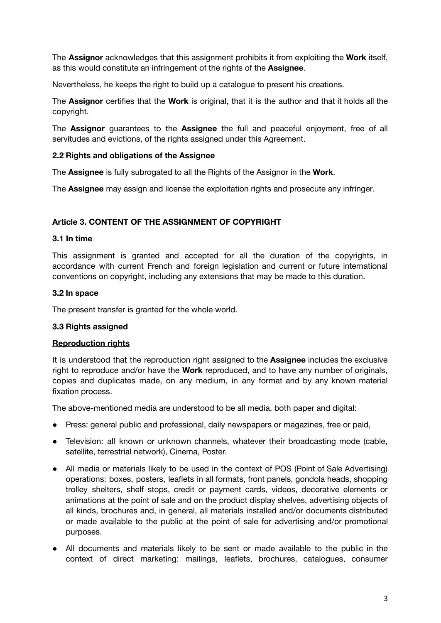The **Assignor** acknowledges that this assignment prohibits it from exploiting the **Work** itself, as this would constitute an infringement of the rights of the **Assignee**.

Nevertheless, he keeps the right to build up a catalogue to present his creations.

The **Assignor** certifies that the **Work** is original, that it is the author and that it holds all the copyright.

The **Assignor** guarantees to the **Assignee** the full and peaceful enjoyment, free of all servitudes and evictions, of the rights assigned under this Agreement.

## **2.2 Rights and obligations of the Assignee**

The **Assignee** is fully subrogated to all the Rights of the Assignor in the **Work**.

The **Assignee** may assign and license the exploitation rights and prosecute any infringer.

# **Article 3. CONTENT OF THE ASSIGNMENT OF COPYRIGHT**

#### **3.1 In time**

This assignment is granted and accepted for all the duration of the copyrights, in accordance with current French and foreign legislation and current or future international conventions on copyright, including any extensions that may be made to this duration.

## **3.2 In space**

The present transfer is granted for the whole world.

#### **3.3 Rights assigned**

#### **Reproduction rights**

It is understood that the reproduction right assigned to the **Assignee** includes the exclusive right to reproduce and/or have the **Work** reproduced, and to have any number of originals, copies and duplicates made, on any medium, in any format and by any known material fixation process.

The above-mentioned media are understood to be all media, both paper and digital:

- Press: general public and professional, daily newspapers or magazines, free or paid,
- Television: all known or unknown channels, whatever their broadcasting mode (cable, satellite, terrestrial network), Cinema, Poster.
- All media or materials likely to be used in the context of POS (Point of Sale Advertising) operations: boxes, posters, leaflets in all formats, front panels, gondola heads, shopping trolley shelters, shelf stops, credit or payment cards, videos, decorative elements or animations at the point of sale and on the product display shelves, advertising objects of all kinds, brochures and, in general, all materials installed and/or documents distributed or made available to the public at the point of sale for advertising and/or promotional purposes.
- All documents and materials likely to be sent or made available to the public in the context of direct marketing: mailings, leaflets, brochures, catalogues, consumer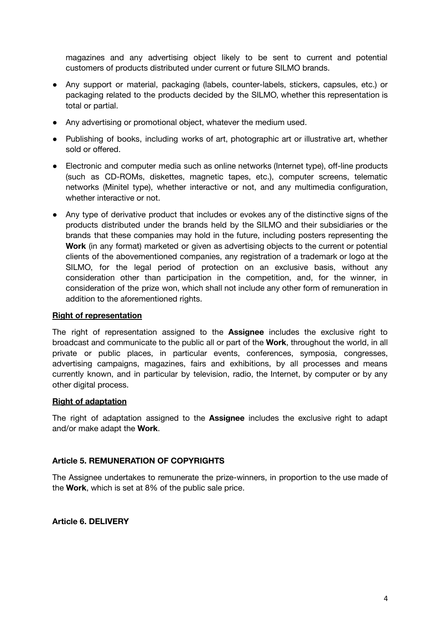magazines and any advertising object likely to be sent to current and potential customers of products distributed under current or future SILMO brands.

- Any support or material, packaging (labels, counter-labels, stickers, capsules, etc.) or packaging related to the products decided by the SILMO, whether this representation is total or partial.
- Any advertising or promotional object, whatever the medium used.
- Publishing of books, including works of art, photographic art or illustrative art, whether sold or offered.
- Electronic and computer media such as online networks (Internet type), off-line products (such as CD-ROMs, diskettes, magnetic tapes, etc.), computer screens, telematic networks (Minitel type), whether interactive or not, and any multimedia configuration, whether interactive or not.
- Any type of derivative product that includes or evokes any of the distinctive signs of the products distributed under the brands held by the SILMO and their subsidiaries or the brands that these companies may hold in the future, including posters representing the **Work** (in any format) marketed or given as advertising objects to the current or potential clients of the abovementioned companies, any registration of a trademark or logo at the SILMO, for the legal period of protection on an exclusive basis, without any consideration other than participation in the competition, and, for the winner, in consideration of the prize won, which shall not include any other form of remuneration in addition to the aforementioned rights.

### **Right of representation**

The right of representation assigned to the **Assignee** includes the exclusive right to broadcast and communicate to the public all or part of the **Work**, throughout the world, in all private or public places, in particular events, conferences, symposia, congresses, advertising campaigns, magazines, fairs and exhibitions, by all processes and means currently known, and in particular by television, radio, the Internet, by computer or by any other digital process.

# **Right of adaptation**

The right of adaptation assigned to the **Assignee** includes the exclusive right to adapt and/or make adapt the **Work**.

# **Article 5. REMUNERATION OF COPYRIGHTS**

The Assignee undertakes to remunerate the prize-winners, in proportion to the use made of the **Work**, which is set at 8% of the public sale price.

#### **Article 6. DELIVERY**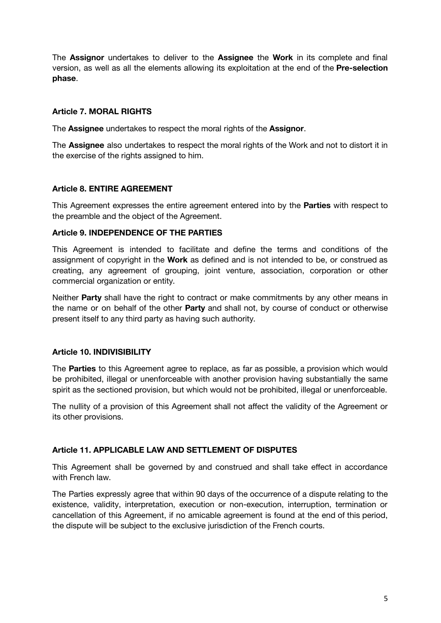The **Assignor** undertakes to deliver to the **Assignee** the **Work** in its complete and final version, as well as all the elements allowing its exploitation at the end of the **Pre-selection phase**.

# **Article 7. MORAL RIGHTS**

The **Assignee** undertakes to respect the moral rights of the **Assignor**.

The **Assignee** also undertakes to respect the moral rights of the Work and not to distort it in the exercise of the rights assigned to him.

## **Article 8. ENTIRE AGREEMENT**

This Agreement expresses the entire agreement entered into by the **Parties** with respect to the preamble and the object of the Agreement.

#### **Article 9. INDEPENDENCE OF THE PARTIES**

This Agreement is intended to facilitate and define the terms and conditions of the assignment of copyright in the **Work** as defined and is not intended to be, or construed as creating, any agreement of grouping, joint venture, association, corporation or other commercial organization or entity.

Neither **Party** shall have the right to contract or make commitments by any other means in the name or on behalf of the other **Party** and shall not, by course of conduct or otherwise present itself to any third party as having such authority.

# **Article 10. INDIVISIBILITY**

The **Parties** to this Agreement agree to replace, as far as possible, a provision which would be prohibited, illegal or unenforceable with another provision having substantially the same spirit as the sectioned provision, but which would not be prohibited, illegal or unenforceable.

The nullity of a provision of this Agreement shall not affect the validity of the Agreement or its other provisions.

#### **Article 11. APPLICABLE LAW AND SETTLEMENT OF DISPUTES**

This Agreement shall be governed by and construed and shall take effect in accordance with French law.

The Parties expressly agree that within 90 days of the occurrence of a dispute relating to the existence, validity, interpretation, execution or non-execution, interruption, termination or cancellation of this Agreement, if no amicable agreement is found at the end of this period, the dispute will be subject to the exclusive jurisdiction of the French courts.